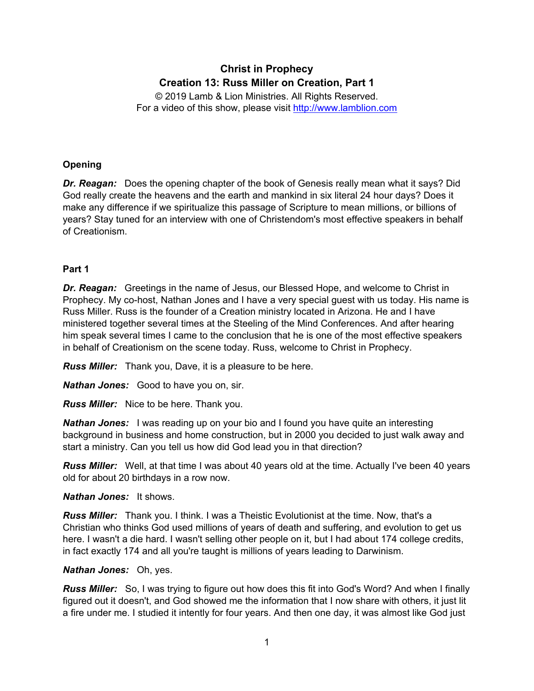# **Christ in Prophecy Creation 13: Russ Miller on Creation, Part 1**

© 2019 Lamb & Lion Ministries. All Rights Reserved. For a video of this show, please visit [http://www.lamblion.com](http://www.lamblion.com/)

# **Opening**

*Dr. Reagan:* Does the opening chapter of the book of Genesis really mean what it says? Did God really create the heavens and the earth and mankind in six literal 24 hour days? Does it make any difference if we spiritualize this passage of Scripture to mean millions, or billions of years? Stay tuned for an interview with one of Christendom's most effective speakers in behalf of Creationism.

# **Part 1**

*Dr. Reagan:* Greetings in the name of Jesus, our Blessed Hope, and welcome to Christ in Prophecy. My co-host, Nathan Jones and I have a very special guest with us today. His name is Russ Miller. Russ is the founder of a Creation ministry located in Arizona. He and I have ministered together several times at the Steeling of the Mind Conferences. And after hearing him speak several times I came to the conclusion that he is one of the most effective speakers in behalf of Creationism on the scene today. Russ, welcome to Christ in Prophecy.

*Russ Miller:* Thank you, Dave, it is a pleasure to be here.

*Nathan Jones:* Good to have you on, sir.

*Russ Miller:* Nice to be here. Thank you.

*Nathan Jones:* I was reading up on your bio and I found you have quite an interesting background in business and home construction, but in 2000 you decided to just walk away and start a ministry. Can you tell us how did God lead you in that direction?

*Russ Miller:* Well, at that time I was about 40 years old at the time. Actually I've been 40 years old for about 20 birthdays in a row now.

# *Nathan Jones:* It shows.

*Russ Miller:* Thank you. I think. I was a Theistic Evolutionist at the time. Now, that's a Christian who thinks God used millions of years of death and suffering, and evolution to get us here. I wasn't a die hard. I wasn't selling other people on it, but I had about 174 college credits, in fact exactly 174 and all you're taught is millions of years leading to Darwinism.

# *Nathan Jones:* Oh, yes.

*Russ Miller:* So, I was trying to figure out how does this fit into God's Word? And when I finally figured out it doesn't, and God showed me the information that I now share with others, it just lit a fire under me. I studied it intently for four years. And then one day, it was almost like God just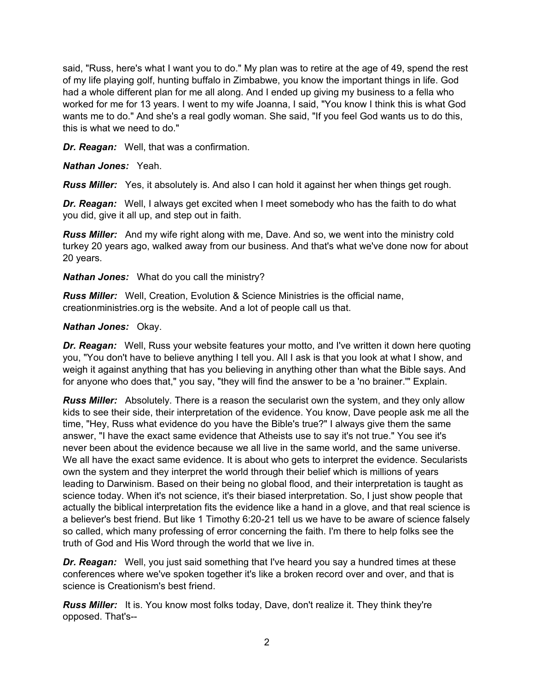said, "Russ, here's what I want you to do." My plan was to retire at the age of 49, spend the rest of my life playing golf, hunting buffalo in Zimbabwe, you know the important things in life. God had a whole different plan for me all along. And I ended up giving my business to a fella who worked for me for 13 years. I went to my wife Joanna, I said, "You know I think this is what God wants me to do." And she's a real godly woman. She said, "If you feel God wants us to do this, this is what we need to do."

*Dr. Reagan:* Well, that was a confirmation.

*Nathan Jones:* Yeah.

*Russ Miller:* Yes, it absolutely is. And also I can hold it against her when things get rough.

*Dr. Reagan:* Well, I always get excited when I meet somebody who has the faith to do what you did, give it all up, and step out in faith.

*Russ Miller:* And my wife right along with me, Dave. And so, we went into the ministry cold turkey 20 years ago, walked away from our business. And that's what we've done now for about 20 years.

*Nathan Jones:* What do you call the ministry?

*Russ Miller:* Well, Creation, Evolution & Science Ministries is the official name, creationministries.org is the website. And a lot of people call us that.

### *Nathan Jones:* Okay.

**Dr. Reagan:** Well, Russ your website features your motto, and I've written it down here quoting you, "You don't have to believe anything I tell you. All I ask is that you look at what I show, and weigh it against anything that has you believing in anything other than what the Bible says. And for anyone who does that," you say, "they will find the answer to be a 'no brainer.'" Explain.

*Russ Miller:* Absolutely. There is a reason the secularist own the system, and they only allow kids to see their side, their interpretation of the evidence. You know, Dave people ask me all the time, "Hey, Russ what evidence do you have the Bible's true?" I always give them the same answer, "I have the exact same evidence that Atheists use to say it's not true." You see it's never been about the evidence because we all live in the same world, and the same universe. We all have the exact same evidence. It is about who gets to interpret the evidence. Secularists own the system and they interpret the world through their belief which is millions of years leading to Darwinism. Based on their being no global flood, and their interpretation is taught as science today. When it's not science, it's their biased interpretation. So, I just show people that actually the biblical interpretation fits the evidence like a hand in a glove, and that real science is a believer's best friend. But like 1 Timothy 6:20-21 tell us we have to be aware of science falsely so called, which many professing of error concerning the faith. I'm there to help folks see the truth of God and His Word through the world that we live in.

*Dr. Reagan:* Well, you just said something that I've heard you say a hundred times at these conferences where we've spoken together it's like a broken record over and over, and that is science is Creationism's best friend.

*Russ Miller:* It is. You know most folks today, Dave, don't realize it. They think they're opposed. That's--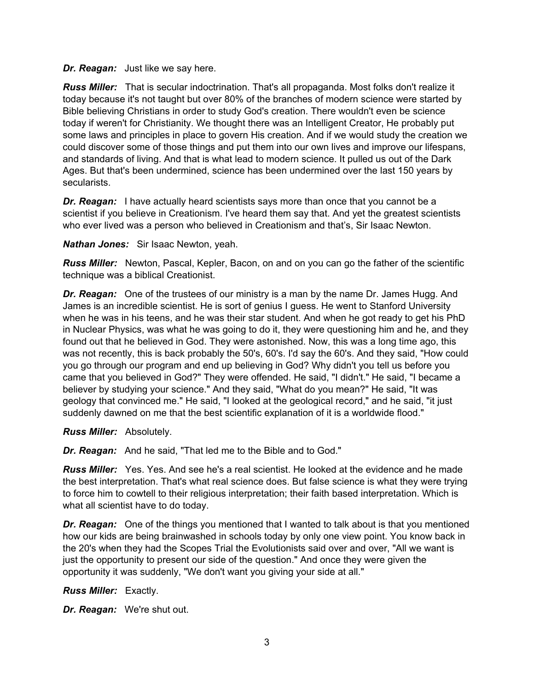### *Dr. Reagan:* Just like we say here.

*Russ Miller:* That is secular indoctrination. That's all propaganda. Most folks don't realize it today because it's not taught but over 80% of the branches of modern science were started by Bible believing Christians in order to study God's creation. There wouldn't even be science today if weren't for Christianity. We thought there was an Intelligent Creator, He probably put some laws and principles in place to govern His creation. And if we would study the creation we could discover some of those things and put them into our own lives and improve our lifespans, and standards of living. And that is what lead to modern science. It pulled us out of the Dark Ages. But that's been undermined, science has been undermined over the last 150 years by secularists.

**Dr. Reagan:** I have actually heard scientists says more than once that you cannot be a scientist if you believe in Creationism. I've heard them say that. And yet the greatest scientists who ever lived was a person who believed in Creationism and that's, Sir Isaac Newton.

*Nathan Jones:* Sir Isaac Newton, yeah.

*Russ Miller:* Newton, Pascal, Kepler, Bacon, on and on you can go the father of the scientific technique was a biblical Creationist.

*Dr. Reagan:* One of the trustees of our ministry is a man by the name Dr. James Hugg. And James is an incredible scientist. He is sort of genius I guess. He went to Stanford University when he was in his teens, and he was their star student. And when he got ready to get his PhD in Nuclear Physics, was what he was going to do it, they were questioning him and he, and they found out that he believed in God. They were astonished. Now, this was a long time ago, this was not recently, this is back probably the 50's, 60's. I'd say the 60's. And they said, "How could you go through our program and end up believing in God? Why didn't you tell us before you came that you believed in God?" They were offended. He said, "I didn't." He said, "I became a believer by studying your science." And they said, "What do you mean?" He said, "It was geology that convinced me." He said, "I looked at the geological record," and he said, "it just suddenly dawned on me that the best scientific explanation of it is a worldwide flood."

*Russ Miller:* Absolutely.

*Dr. Reagan:* And he said, "That led me to the Bible and to God."

*Russ Miller:* Yes. Yes. And see he's a real scientist. He looked at the evidence and he made the best interpretation. That's what real science does. But false science is what they were trying to force him to cowtell to their religious interpretation; their faith based interpretation. Which is what all scientist have to do today.

*Dr. Reagan:* One of the things you mentioned that I wanted to talk about is that you mentioned how our kids are being brainwashed in schools today by only one view point. You know back in the 20's when they had the Scopes Trial the Evolutionists said over and over, "All we want is just the opportunity to present our side of the question." And once they were given the opportunity it was suddenly, "We don't want you giving your side at all."

*Russ Miller:* Exactly.

*Dr. Reagan:* We're shut out.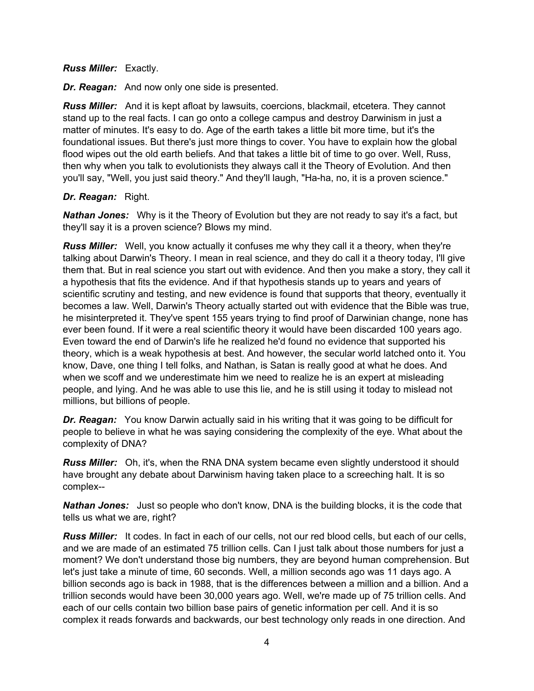### *Russ Miller:* Exactly.

*Dr. Reagan:* And now only one side is presented.

*Russ Miller:* And it is kept afloat by lawsuits, coercions, blackmail, etcetera. They cannot stand up to the real facts. I can go onto a college campus and destroy Darwinism in just a matter of minutes. It's easy to do. Age of the earth takes a little bit more time, but it's the foundational issues. But there's just more things to cover. You have to explain how the global flood wipes out the old earth beliefs. And that takes a little bit of time to go over. Well, Russ, then why when you talk to evolutionists they always call it the Theory of Evolution. And then you'll say, "Well, you just said theory." And they'll laugh, "Ha-ha, no, it is a proven science."

# *Dr. Reagan:* Right.

*Nathan Jones:* Why is it the Theory of Evolution but they are not ready to say it's a fact, but they'll say it is a proven science? Blows my mind.

*Russ Miller:* Well, you know actually it confuses me why they call it a theory, when they're talking about Darwin's Theory. I mean in real science, and they do call it a theory today, I'll give them that. But in real science you start out with evidence. And then you make a story, they call it a hypothesis that fits the evidence. And if that hypothesis stands up to years and years of scientific scrutiny and testing, and new evidence is found that supports that theory, eventually it becomes a law. Well, Darwin's Theory actually started out with evidence that the Bible was true, he misinterpreted it. They've spent 155 years trying to find proof of Darwinian change, none has ever been found. If it were a real scientific theory it would have been discarded 100 years ago. Even toward the end of Darwin's life he realized he'd found no evidence that supported his theory, which is a weak hypothesis at best. And however, the secular world latched onto it. You know, Dave, one thing I tell folks, and Nathan, is Satan is really good at what he does. And when we scoff and we underestimate him we need to realize he is an expert at misleading people, and lying. And he was able to use this lie, and he is still using it today to mislead not millions, but billions of people.

*Dr. Reagan:* You know Darwin actually said in his writing that it was going to be difficult for people to believe in what he was saying considering the complexity of the eye. What about the complexity of DNA?

*Russ Miller:* Oh, it's, when the RNA DNA system became even slightly understood it should have brought any debate about Darwinism having taken place to a screeching halt. It is so complex--

*Nathan Jones:* Just so people who don't know, DNA is the building blocks, it is the code that tells us what we are, right?

*Russ Miller:* It codes. In fact in each of our cells, not our red blood cells, but each of our cells, and we are made of an estimated 75 trillion cells. Can I just talk about those numbers for just a moment? We don't understand those big numbers, they are beyond human comprehension. But let's just take a minute of time, 60 seconds. Well, a million seconds ago was 11 days ago. A billion seconds ago is back in 1988, that is the differences between a million and a billion. And a trillion seconds would have been 30,000 years ago. Well, we're made up of 75 trillion cells. And each of our cells contain two billion base pairs of genetic information per cell. And it is so complex it reads forwards and backwards, our best technology only reads in one direction. And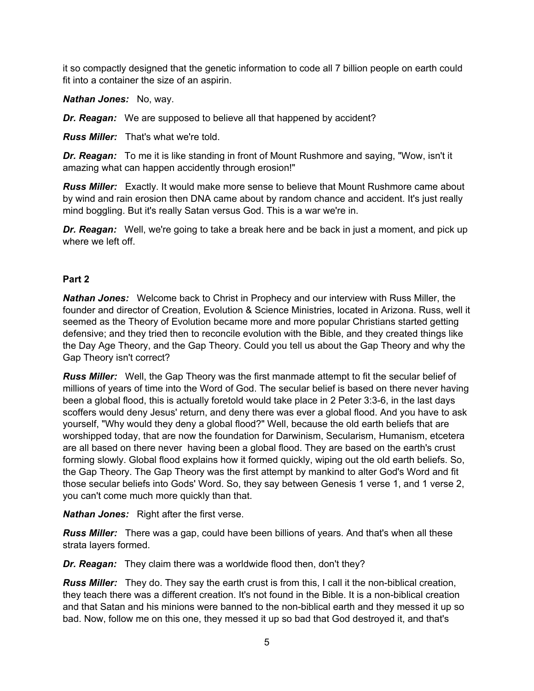it so compactly designed that the genetic information to code all 7 billion people on earth could fit into a container the size of an aspirin.

*Nathan Jones:* No, way.

**Dr. Reagan:** We are supposed to believe all that happened by accident?

*Russ Miller:* That's what we're told.

*Dr. Reagan:* To me it is like standing in front of Mount Rushmore and saying, "Wow, isn't it amazing what can happen accidently through erosion!"

*Russ Miller:* Exactly. It would make more sense to believe that Mount Rushmore came about by wind and rain erosion then DNA came about by random chance and accident. It's just really mind boggling. But it's really Satan versus God. This is a war we're in.

**Dr. Reagan:** Well, we're going to take a break here and be back in just a moment, and pick up where we left off.

# **Part 2**

*Nathan Jones:* Welcome back to Christ in Prophecy and our interview with Russ Miller, the founder and director of Creation, Evolution & Science Ministries, located in Arizona. Russ, well it seemed as the Theory of Evolution became more and more popular Christians started getting defensive; and they tried then to reconcile evolution with the Bible, and they created things like the Day Age Theory, and the Gap Theory. Could you tell us about the Gap Theory and why the Gap Theory isn't correct?

*Russ Miller:* Well, the Gap Theory was the first manmade attempt to fit the secular belief of millions of years of time into the Word of God. The secular belief is based on there never having been a global flood, this is actually foretold would take place in 2 Peter 3:3-6, in the last days scoffers would deny Jesus' return, and deny there was ever a global flood. And you have to ask yourself, "Why would they deny a global flood?" Well, because the old earth beliefs that are worshipped today, that are now the foundation for Darwinism, Secularism, Humanism, etcetera are all based on there never having been a global flood. They are based on the earth's crust forming slowly. Global flood explains how it formed quickly, wiping out the old earth beliefs. So, the Gap Theory. The Gap Theory was the first attempt by mankind to alter God's Word and fit those secular beliefs into Gods' Word. So, they say between Genesis 1 verse 1, and 1 verse 2, you can't come much more quickly than that.

*Nathan Jones:* Right after the first verse.

*Russ Miller:* There was a gap, could have been billions of years. And that's when all these strata layers formed.

*Dr. Reagan:* They claim there was a worldwide flood then, don't they?

*Russ Miller:* They do. They say the earth crust is from this, I call it the non-biblical creation, they teach there was a different creation. It's not found in the Bible. It is a non-biblical creation and that Satan and his minions were banned to the non-biblical earth and they messed it up so bad. Now, follow me on this one, they messed it up so bad that God destroyed it, and that's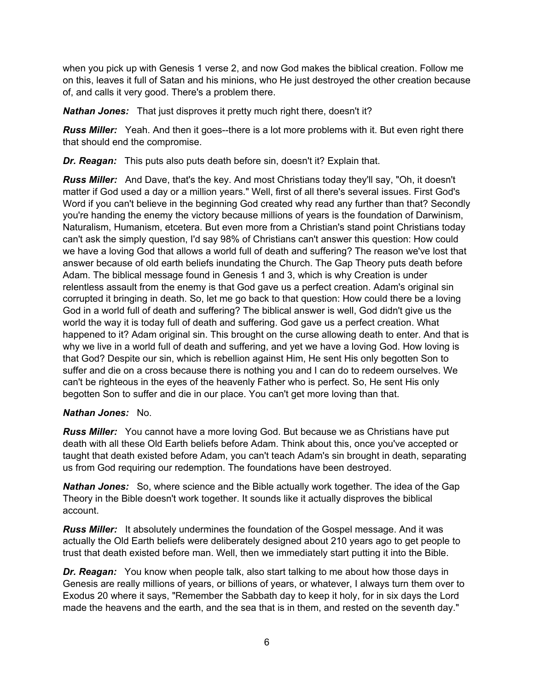when you pick up with Genesis 1 verse 2, and now God makes the biblical creation. Follow me on this, leaves it full of Satan and his minions, who He just destroyed the other creation because of, and calls it very good. There's a problem there.

*Nathan Jones:* That just disproves it pretty much right there, doesn't it?

*Russ Miller:* Yeah. And then it goes--there is a lot more problems with it. But even right there that should end the compromise.

*Dr. Reagan:* This puts also puts death before sin, doesn't it? Explain that.

*Russ Miller:* And Dave, that's the key. And most Christians today they'll say, "Oh, it doesn't matter if God used a day or a million years." Well, first of all there's several issues. First God's Word if you can't believe in the beginning God created why read any further than that? Secondly you're handing the enemy the victory because millions of years is the foundation of Darwinism, Naturalism, Humanism, etcetera. But even more from a Christian's stand point Christians today can't ask the simply question, I'd say 98% of Christians can't answer this question: How could we have a loving God that allows a world full of death and suffering? The reason we've lost that answer because of old earth beliefs inundating the Church. The Gap Theory puts death before Adam. The biblical message found in Genesis 1 and 3, which is why Creation is under relentless assault from the enemy is that God gave us a perfect creation. Adam's original sin corrupted it bringing in death. So, let me go back to that question: How could there be a loving God in a world full of death and suffering? The biblical answer is well, God didn't give us the world the way it is today full of death and suffering. God gave us a perfect creation. What happened to it? Adam original sin. This brought on the curse allowing death to enter. And that is why we live in a world full of death and suffering, and yet we have a loving God. How loving is that God? Despite our sin, which is rebellion against Him, He sent His only begotten Son to suffer and die on a cross because there is nothing you and I can do to redeem ourselves. We can't be righteous in the eyes of the heavenly Father who is perfect. So, He sent His only begotten Son to suffer and die in our place. You can't get more loving than that.

# *Nathan Jones:* No.

*Russ Miller:* You cannot have a more loving God. But because we as Christians have put death with all these Old Earth beliefs before Adam. Think about this, once you've accepted or taught that death existed before Adam, you can't teach Adam's sin brought in death, separating us from God requiring our redemption. The foundations have been destroyed.

*Nathan Jones:* So, where science and the Bible actually work together. The idea of the Gap Theory in the Bible doesn't work together. It sounds like it actually disproves the biblical account.

*Russ Miller:* It absolutely undermines the foundation of the Gospel message. And it was actually the Old Earth beliefs were deliberately designed about 210 years ago to get people to trust that death existed before man. Well, then we immediately start putting it into the Bible.

*Dr. Reagan:* You know when people talk, also start talking to me about how those days in Genesis are really millions of years, or billions of years, or whatever, I always turn them over to Exodus 20 where it says, "Remember the Sabbath day to keep it holy, for in six days the Lord made the heavens and the earth, and the sea that is in them, and rested on the seventh day."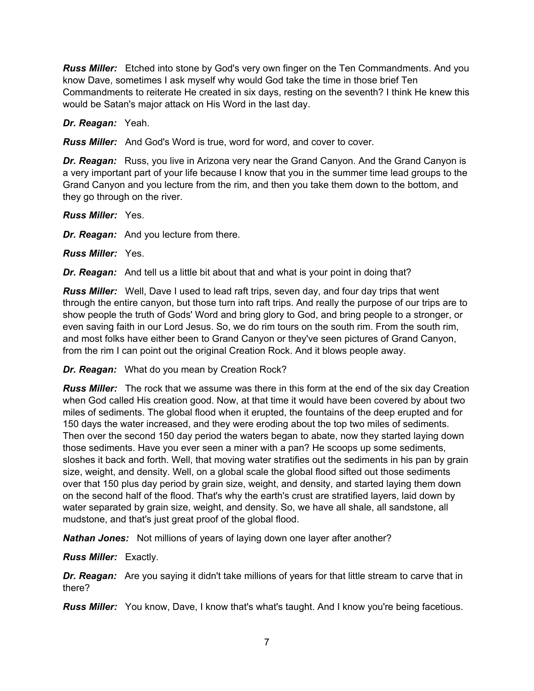*Russ Miller:* Etched into stone by God's very own finger on the Ten Commandments. And you know Dave, sometimes I ask myself why would God take the time in those brief Ten Commandments to reiterate He created in six days, resting on the seventh? I think He knew this would be Satan's major attack on His Word in the last day.

*Dr. Reagan:* Yeah.

*Russ Miller:* And God's Word is true, word for word, and cover to cover.

*Dr. Reagan:* Russ, you live in Arizona very near the Grand Canyon. And the Grand Canyon is a very important part of your life because I know that you in the summer time lead groups to the Grand Canyon and you lecture from the rim, and then you take them down to the bottom, and they go through on the river.

*Russ Miller:* Yes.

*Dr. Reagan:* And you lecture from there.

*Russ Miller:* Yes.

*Dr. Reagan:* And tell us a little bit about that and what is your point in doing that?

*Russ Miller:* Well, Dave I used to lead raft trips, seven day, and four day trips that went through the entire canyon, but those turn into raft trips. And really the purpose of our trips are to show people the truth of Gods' Word and bring glory to God, and bring people to a stronger, or even saving faith in our Lord Jesus. So, we do rim tours on the south rim. From the south rim, and most folks have either been to Grand Canyon or they've seen pictures of Grand Canyon, from the rim I can point out the original Creation Rock. And it blows people away.

*Dr. Reagan:* What do you mean by Creation Rock?

*Russ Miller:* The rock that we assume was there in this form at the end of the six day Creation when God called His creation good. Now, at that time it would have been covered by about two miles of sediments. The global flood when it erupted, the fountains of the deep erupted and for 150 days the water increased, and they were eroding about the top two miles of sediments. Then over the second 150 day period the waters began to abate, now they started laying down those sediments. Have you ever seen a miner with a pan? He scoops up some sediments, sloshes it back and forth. Well, that moving water stratifies out the sediments in his pan by grain size, weight, and density. Well, on a global scale the global flood sifted out those sediments over that 150 plus day period by grain size, weight, and density, and started laying them down on the second half of the flood. That's why the earth's crust are stratified layers, laid down by water separated by grain size, weight, and density. So, we have all shale, all sandstone, all mudstone, and that's just great proof of the global flood.

*Nathan Jones:* Not millions of years of laying down one layer after another?

*Russ Miller:* Exactly.

**Dr. Reagan:** Are you saying it didn't take millions of years for that little stream to carve that in there?

*Russ Miller:* You know, Dave, I know that's what's taught. And I know you're being facetious.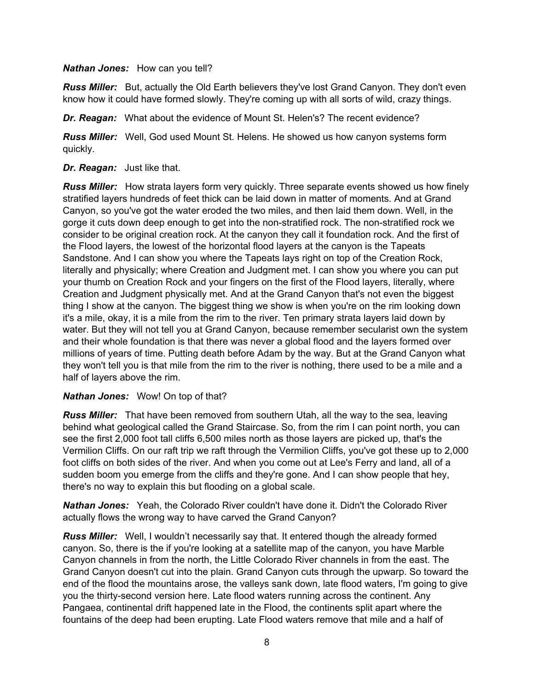### *Nathan Jones:* How can you tell?

*Russ Miller:* But, actually the Old Earth believers they've lost Grand Canyon. They don't even know how it could have formed slowly. They're coming up with all sorts of wild, crazy things.

*Dr. Reagan:* What about the evidence of Mount St. Helen's? The recent evidence?

*Russ Miller:* Well, God used Mount St. Helens. He showed us how canyon systems form quickly.

### *Dr. Reagan:* Just like that.

*Russ Miller:* How strata layers form very quickly. Three separate events showed us how finely stratified layers hundreds of feet thick can be laid down in matter of moments. And at Grand Canyon, so you've got the water eroded the two miles, and then laid them down. Well, in the gorge it cuts down deep enough to get into the non-stratified rock. The non-stratified rock we consider to be original creation rock. At the canyon they call it foundation rock. And the first of the Flood layers, the lowest of the horizontal flood layers at the canyon is the Tapeats Sandstone. And I can show you where the Tapeats lays right on top of the Creation Rock, literally and physically; where Creation and Judgment met. I can show you where you can put your thumb on Creation Rock and your fingers on the first of the Flood layers, literally, where Creation and Judgment physically met. And at the Grand Canyon that's not even the biggest thing I show at the canyon. The biggest thing we show is when you're on the rim looking down it's a mile, okay, it is a mile from the rim to the river. Ten primary strata layers laid down by water. But they will not tell you at Grand Canyon, because remember secularist own the system and their whole foundation is that there was never a global flood and the layers formed over millions of years of time. Putting death before Adam by the way. But at the Grand Canyon what they won't tell you is that mile from the rim to the river is nothing, there used to be a mile and a half of layers above the rim.

# *Nathan Jones:* Wow! On top of that?

*Russ Miller:* That have been removed from southern Utah, all the way to the sea, leaving behind what geological called the Grand Staircase. So, from the rim I can point north, you can see the first 2,000 foot tall cliffs 6,500 miles north as those layers are picked up, that's the Vermilion Cliffs. On our raft trip we raft through the Vermilion Cliffs, you've got these up to 2,000 foot cliffs on both sides of the river. And when you come out at Lee's Ferry and land, all of a sudden boom you emerge from the cliffs and they're gone. And I can show people that hey, there's no way to explain this but flooding on a global scale.

*Nathan Jones:* Yeah, the Colorado River couldn't have done it. Didn't the Colorado River actually flows the wrong way to have carved the Grand Canyon?

*Russ Miller:* Well, I wouldn't necessarily say that. It entered though the already formed canyon. So, there is the if you're looking at a satellite map of the canyon, you have Marble Canyon channels in from the north, the Little Colorado River channels in from the east. The Grand Canyon doesn't cut into the plain. Grand Canyon cuts through the upwarp. So toward the end of the flood the mountains arose, the valleys sank down, late flood waters, I'm going to give you the thirty-second version here. Late flood waters running across the continent. Any Pangaea, continental drift happened late in the Flood, the continents split apart where the fountains of the deep had been erupting. Late Flood waters remove that mile and a half of